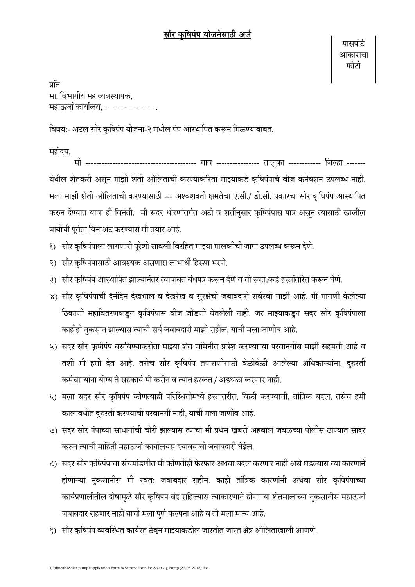## सौर कषिपंप योजनेसाठी अर्ज

प्रति मा. विभागीय महाव्यवस्थापक. महाऊर्जा कार्यालय, -------------------

विषय:- अटल सौर कृषिपंप योजना-२ मधील पंप आस्थापित करून मिळण्याबाबत.

महोदय,

........................... गाव --------------- तालुका ----------- जिल्हा -------<u>ਸੀ -</u> येथील शेतकरी असून माझी शेती ओलिताची करण्याकरिता माझ्याकडे कृषिपंपाचे वीज कनेक्शन उपलब्ध नाही. मला माझी शेती ओलिताची करण्यासाठी --- अश्वशक्ती क्षमतेचा ए.सी./ डी.सी. प्रकारचा सौर कृषिपंप आस्थापित करुन देण्यात यावा ही विनंती. मी सदर धोरणांतर्गत अटी व शर्तींनुसार कृषिपंपास पात्र असून त्यासाठी खालील बाबींची पूर्तता विनाअट करण्यास मी तयार आहे.

- १) सौर कृषिपंपाला लागणारी पुरेशी सावली विरहित माझ्या मालकीची जागा उपलब्ध करून देणे.
- २) सौर कृषिपंपासाठी आवश्यक असणारा लाभार्थी हिस्सा भरणे.
- ३) सौर कृषिपंप आस्थापित झाल्यानंतर त्याबाबत बंधपत्र करून देणे व तो स्वत:कडे हस्तांतरित करून घेणे.
- ४) सौर कृषिपंपाची दैनंदिन देखभाल व देखरेख व सुरक्षेची जबाबदारी सर्वस्वी माझी आहे. मी मागणी केलेल्या ठिकाणी महावितरणकडुन कृषिपंपास वीज जोडणी घेतलेली नाही. जर माझ्याकडुन सदर सौर कृषिपंपाला काहीही नुकसान झाल्यास त्याची सर्व जबाबदारी माझी राहील, याची मला जाणीव आहे.
- ५) सदर सौर कृषीपंप बसविण्याकरीता माझ्या शेत जमिनीत प्रवेश करण्याच्या परवानगीस माझी सहमती आहे व तशी मी हमी देत आहे. तसेच सौर कृषिपंप तपासणीसाठी वेळोवेळी आलेल्या अधिकाऱ्यांना, दुरुस्ती कर्मचाऱ्यांना योग्य ते सहकार्य मी करीन व त्यात हरकत / अडथळा करणार नाही.
- ६) मला सदर सौर कृषिपंप कोणत्याही परिस्थितीमध्ये हस्तांतरीत, विक्री करण्याची, तांत्रिक बदल, तसेच हमी कालावधीत दुरुस्ती करण्याची परवानगी नाही, याची मला जाणीव आहे.
- ७) सदर सौर पंपाच्या साधानांची चोरी झाल्यास त्याचा मी प्रथम खबरी अहवाल जवळच्या पोलीस ठाण्यात सादर करुन त्याची माहिती महाऊर्जा कार्यालयस दयावयाची जबाबदारी घेईल.
- ८) सदर सौर कृषिपंपाचा संचमांडणीत मी कोणतीही फेरफार अथवा बदल करणार नाही असे घडल्यास त्या कारणाने होणाऱ्या नुकसानीस मी स्वत: जबाबदार राहीन. काही तांत्रिक कारणांनी अथवा सौर कृषिपंपाच्या कार्यप्रणालीतील दोषामुळे सौर कृषिपंप बंद राहिल्यास त्याकारणाने होणाऱ्या शेतमालाच्या नुकसानीस महाऊर्जा जबाबदार राहणार नाही याची मला पूर्ण कल्पना आहे व ती मला मान्य आहे.
- ९) सौर कृषिपंप व्यवस्थित कार्यरत ठेवून माझ्याकडील जास्तीत जास्त क्षेत्र ओलिताखाली आणणे.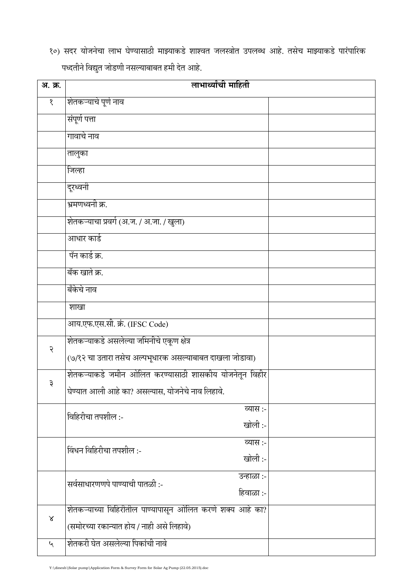१०) सदर योजनेचा लाभ घेण्यासाठी माझ्याकडे शाश्वत जलस्त्रोत उपलब्ध आहे. तसेच माझ्याकडे पारंपारिक पध्दतीने विद्युत जोडणी नसल्याबाबत हमी देत आहे.

| अ. क्र.                     | लाभार्थ्यांची माहिती                                      |  |  |
|-----------------------------|-----------------------------------------------------------|--|--|
| १                           | शेतकऱ्याचे पूर्ण नाव                                      |  |  |
|                             | संपूर्ण पत्ता                                             |  |  |
|                             | गावाचे नाव                                                |  |  |
|                             | तालुका                                                    |  |  |
|                             | जिल्हा                                                    |  |  |
|                             | दूरध्वनी                                                  |  |  |
|                             | भ्रमणध्वनी क्र.                                           |  |  |
|                             | शेतकऱ्याचा प्रवर्ग (अ.ज. / अ.जा. / खुला)                  |  |  |
|                             | आधार कार्ड                                                |  |  |
|                             | पॅन कार्ड क्र.                                            |  |  |
|                             | बँक खाते क्र.                                             |  |  |
|                             | बँकेचे नाव                                                |  |  |
|                             | शाखा                                                      |  |  |
|                             | आय.एफ.एस.सी. क्रं. (IFSC Code)                            |  |  |
| २                           | शेतकऱ्याकडे असलेल्या जमिनीचे एकूण क्षेत्र                 |  |  |
|                             | (७/१२ चा उतारा तसेच अल्पभूधारक असल्याबाबत दाखला जोडावा)   |  |  |
| ३                           | शेतकऱ्याकडे जमीन ओलित करण्यासाठी शासकीय योजनेतून विहीर    |  |  |
|                             | घेण्यात आली आहे का? असल्यास, योजनेचे नाव लिहावे.          |  |  |
|                             | व्यास :-<br>विहिरीचा तपशील :-                             |  |  |
|                             | खोली:-                                                    |  |  |
|                             | व्यास :-<br>विंधन विहिरीचा तपशील :-<br>खोली:-             |  |  |
|                             |                                                           |  |  |
|                             | उन्हाळा :-<br>सर्वसाधारणणपे पाण्याची पातळी :-             |  |  |
|                             | हिवाळा :-                                                 |  |  |
| $\propto$                   | शेतकऱ्याच्या विहिरीतील पाण्यापासून ओलित करणे शक्य आहे का? |  |  |
|                             | (समोरच्या रकान्यात होय / नाही असे लिहावे)                 |  |  |
| $\mathcal{L}_{\mathcal{A}}$ | शेतकरी घेत असलेल्या पिकांची नावे                          |  |  |